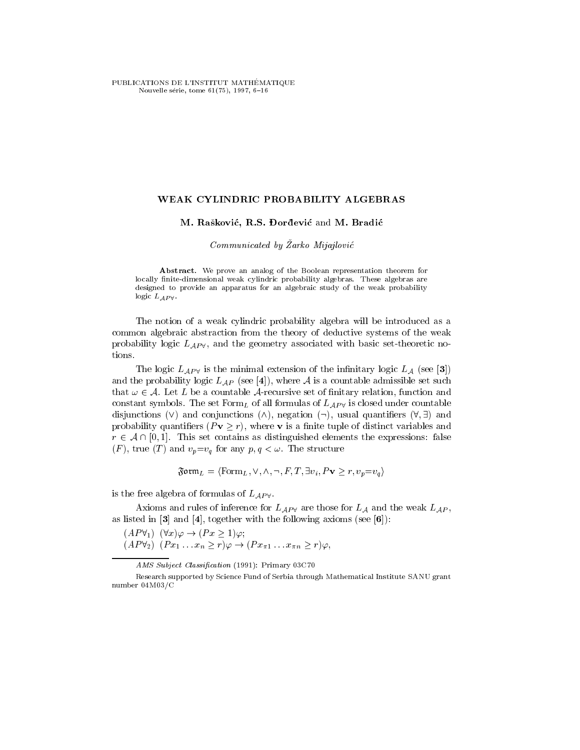PUBLICATIONS DE L'INSTITUT MATHÉMATIQUE Nouvelle série, tome 61(75), 1997, 6-16

## WEAK CYLINDRIC PROBABILITY ALGEBRAS

## M. Rašković, R.S. Dorđević and M. Bradić

Communicated by Zarko Mijajlovic

Abstract. We prove an analog of the Boolean representation theorem for locally finite-dimensional weak cylindric probability algebras. These algebras are designed to provide an apparatus for an algebraic study of the weak probability logic  $L_{AP}$   $\vee$ .

The notion of a weak cylindric probability algebra will be introduced as a common algebraic abstraction from the theory of deductive systems of the weak probability logic  $L_{AP}$ , and the geometry associated with basic set-theoretic notions.

The logic  $L_{AP}$  is the minimal extension of the infinitary logic  $L_A$  (see [3]) and the probability logic  $L_{AP}$  (see [4]), where A is a countable admissible set such that  $\omega \in A$ . Let L be a countable A-recursive set of finitary relation, function and constant symbols. The set Form<sub>L</sub> of all formulas of  $L_{AP}$  is closed under countable disjunctions (V) and conjunctions ( $\wedge$ ), negation ( $\neg$ ), usual quantifiers ( $\forall$ ,  $\nexists$ ) and probability quantifiers  $(Pv \ge r)$ , where v is a finite tuple of distinct variables and  $r \in A \cap [0, 1]$ . This set contains as distinguished elements the expressions: false  $(F)$ , true  $(T)$  and  $v_p = v_q$  for any  $p, q < \omega$ . The structure

$$
\mathfrak{Form}_L = \langle \text{Form}_L, \vee, \wedge, \neg, F, T, \exists v_i, P \mathbf{v} \ge r, v_p = v_q \rangle
$$

is the free algebra of formulas of  $L_{AP}$ .

Axioms and rules of inference for  $L_{AP}$  are those for  $L_A$  and the weak  $L_{AP}$ , as listed in  $[3]$  and  $[4]$ , together with the following axioms (see  $[6]$ ):

 $(AP\forall_1)$   $(\forall x)\varphi \rightarrow (Px \geq 1)\varphi;$ 

 $(P\vee_2)(Px_1 \dots x_n \geq \overline{r})\varphi \to (Px_{\pi 1} \dots x_{\pi n} \geq r)\varphi,$ 

AMS Subject Classification (1991): Primary 03C70

Research supported by Science Fund of Serbia through Mathematical Institute SANU grant number 04M03/C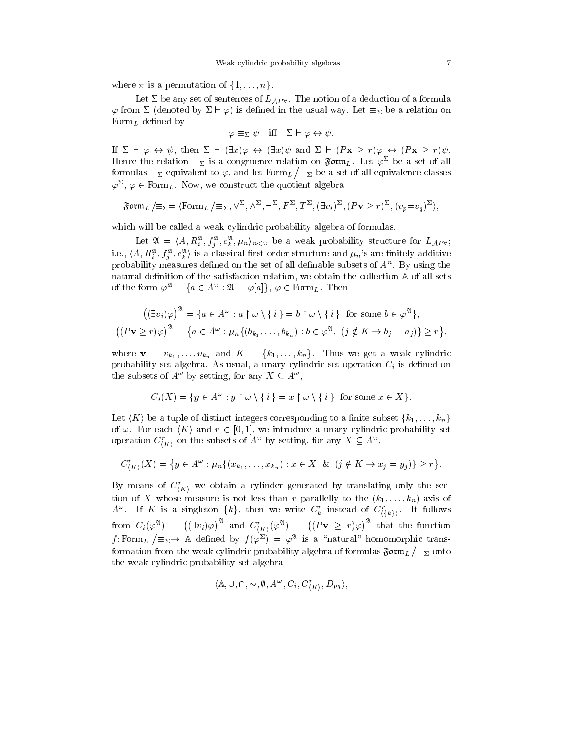where  $\pi$  is a permutation of  $\{1, \ldots, n\}$ .

Let  $\Sigma$  be any set of sentences of  $L_{AP}$ . The notion of a deduction of a formula  $\varphi$  from  $\Sigma$  (denoted by  $\Sigma \vdash \varphi$ ) is defined in the usual way. Let  $\equiv_{\Sigma}$  be a relation on Form<sub>L</sub> defined by

$$
\varphi \equiv_{\Sigma} \psi \quad \text{iff} \quad \Sigma \vdash \varphi \leftrightarrow \psi.
$$

If  $\Sigma \vdash \varphi \leftrightarrow \psi$ , then  $\Sigma \vdash (\exists x)\varphi \leftrightarrow (\exists x)\psi$  and  $\Sigma \vdash (P\mathbf{x} \geq r)\varphi \leftrightarrow (P\mathbf{x} \geq r)\psi$ . Hence the relation  $\equiv_\Sigma$  is a congruence relation on  $\mathfrak{sym}_L$ . Let  $\varphi^\omega$  be a set of all formulas  $\equiv_{\Sigma}$ -equivalent to  $\varphi$ , and let  $\text{Form}_{L}/\equiv_{\Sigma}$  be a set of all equivalence classes  $\varphi^-,\, \varphi \in \texttt{form}_L.$  Now, we construct the quotient algebra

$$
\mathfrak{Form}_L/\equiv_{\Sigma}=\langle \mathrm{Form}_L/\equiv_{\Sigma}, \vee^{\Sigma}, \wedge^{\Sigma}, \neg^{\Sigma}, F^{\Sigma}, T^{\Sigma}, (\exists v_i)^{\Sigma}, (P\mathbf{v}\geq r)^{\Sigma}, (v_p=v_q)^{\Sigma}\rangle,
$$

which will be called a weak cylindric probability algebra of formulas.

Let  $\mathfrak{A} = \langle A, R_i^{\mathfrak{A}}, f_j^{\mathfrak{A}}, c_k^{\mathfrak{A}}, \mu_n \rangle_{n < \omega}$  be a weak probability structure for  $L_{AP} \forall$ ; i.e.,  $\langle A, R^{\mathfrak{A}}_i, f^{\mathfrak{A}}_j, c^{\mathfrak{A}}_k \rangle$  is a classical first-order structure and  $\mu_n$ 's are finitely additive probability measures dened on the set of all denable subsets of An . By using the natural definition of the satisfaction relation, we obtain the collection  $A$  of all sets of the form  $\varphi^{\mathfrak{A}} = \{ a \in A^{\omega} : \mathfrak{A} \models \varphi[a] \}, \varphi \in \text{Form}_L$ . Then

$$
((\exists v_i)\varphi)^{\mathfrak{A}} = \{a \in A^{\omega} : a \upharpoonright \omega \setminus \{i\} = b \upharpoonright \omega \setminus \{i\} \text{ for some } b \in \varphi^{\mathfrak{A}}\},\
$$

$$
((P\mathbf{v} \ge r)\varphi)^{\mathfrak{A}} = \{a \in A^{\omega} : \mu_n\{(b_{k_1},\ldots,b_{k_n}) : b \in \varphi^{\mathfrak{A}}, \ (j \notin K \to b_j = a_j)\} \ge r\},
$$

where v  $v_{\alpha+1}$  ,  $v_{\alpha+1}$  ,  $v_{\alpha+1}$  and  $v_{\alpha+1}$  and  $v_{\alpha+1}$  is weak cylindrical cylindric weak cylindric weak cylindrical cylindric weak cylindrical cylindric weak cylindric weak cylindric weak cylindric weak cy probability set algebra. As usual, a unary cylindric set operation Ci is dened on the subsets of  $A^+$  by setting, for any  $A \subseteq A^+$ ,

$$
C_i(X) = \{ y \in A^{\omega} : y \upharpoonright \omega \setminus \{ i \} = x \upharpoonright \omega \setminus \{ i \} \text{ for some } x \in X \}.
$$

Let  $\langle K \rangle$  be a tuple of distinct integers corresponding to a finite subset  $\{k_1, \ldots, k_n\}$ of  $\omega$ . For each  $\langle K \rangle$  and  $r \in [0, 1]$ , we introduce a unary cylindric probability set operation  $C_{\langle K \rangle}$  on the subsets of A and by setting, for any  $A \subseteq A$ , , and the contract of the contract of the contract of the contract of the contract of the contract of the contract of the contract of the contract of the contract of the contract of the contract of the contract of the con

$$
C_{\langle K \rangle}^r(X) = \{ y \in A^\omega : \mu_n \{ (x_{k_1}, \ldots, x_{k_n}) : x \in X \& (j \notin K \to x_j = y_j) \} \ge r \}.
$$

By means of  $C_{\langle K \rangle}$  we obtain a cylinder generated by translating only the section of X whose measure is not less than r parallelly to the  $(k_1, \ldots, k_n)$ -axis of  $A^*$ . If  $K$  is a singleton  $\{k\}$ , then we write  $C_k$  instead of  $C_{\{k\}}$ . from  $C_i(\varphi^\mathfrak{A}) \;=\; \bigl((\exists v_i)\varphi\bigr)^{\mathfrak{A}}$  a  $((\exists v_i)\varphi)^{\mathfrak{A}}$  and  $C^r_{(K)}(\varphi^{\mathfrak{A}}) = ((P\mathbf{v} \geq r)^r)$  $((P\mathbf{v} \geq r)\varphi)^{\mathfrak{A}}$  that the function f: Form<sub>L</sub>  $\left/ \equiv_{\Sigma} \to \mathbb{A}$  defined by  $f(\varphi^{\Sigma}) = \varphi^{\mathfrak{A}}$  is a "natural" homomorphic transformation from the weak cylindric probability algebra of formulas  $\mathfrak{F} \mathfrak{o} \mathfrak{r} \mathfrak{m}_L /\mathfrak{S}_\Sigma$  onto the weak cylindric probability set algebra

$$
\langle \mathbb{A}, \cup, \cap, \sim, \emptyset, A^{\omega}, C_i, C^r_{\langle K \rangle}, D_{pq} \rangle,
$$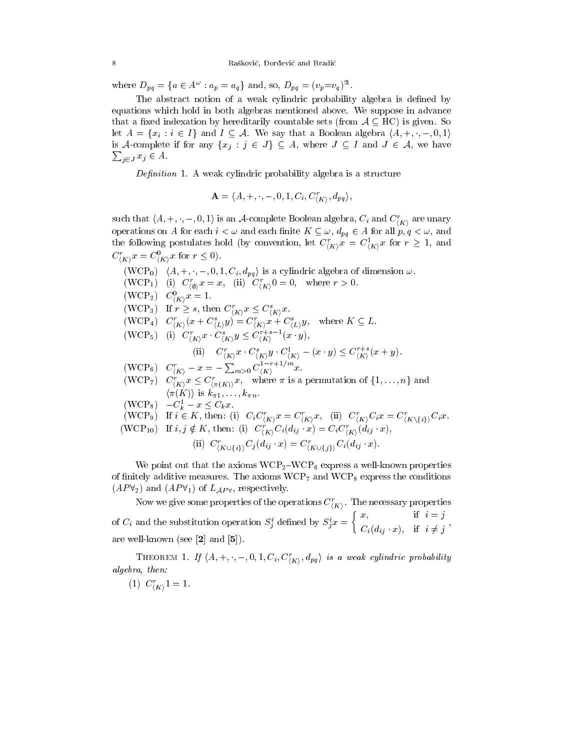where  $D_{pq} = \{a \in A^{\omega} : a_p = a_q\}$  and, so,  $D_{pq} = (v_p = v_q)^{\mathfrak{A}}$ .

The abstract notion of a weak cylindric probability algebra is defined by equations which hold in both algebras mentioned above. We suppose in advance that a fixed indexation by hereditarily countable sets (from  $A \subseteq \mathrm{HC}$ ) is given. So let  $A = \{x_i : i \in I\}$  and  $I \subseteq A$ . We say that a Boolean algebra  $\langle A, +, \cdot, -, 0, 1 \rangle$ is a complete if the single  $j$  if  $j$  , where  $j$  is any  $j$  and  $j$  and  $j$  and  $j$  and  $j$  and  $j$  and  $j$  $\sum_{j \in J} x_j \in A$ .

— symmetric at the masser symmetric probability algebra is a structure in

$$
\mathbf{A} = \langle A, +, \cdot, -, 0, 1, C_i, C_{(K)}^r, d_{pq} \rangle,
$$

http://www.com/com/com/

such that  $\langle A, +, \cdot, -, 0, 1 \rangle$  is an A-complete Boolean algebra,  $C_i$  and  $C_{\langle K \rangle}$  are unary operations on A for each  $i < \omega$  and each finite  $K \subseteq \omega$ ,  $d_{pq} \in A$  for all  $p, q < \omega$ , and the following postulates hold (by convention, let  $C_{(K)}x = C_{(K)}^T x$  for  $r \geq 1$ , and  $C_{\langle K \rangle} x = C_{\langle K \rangle} x$  for  $r \leq 0$ .

(WCP<sub>0</sub>)  $\langle A, +, \cdot, -, 0, 1, C_i, d_{pq} \rangle$  is a cylindric algebra of dimension  $\omega$ . (WCF<sub>1</sub>) (i)  $C_{\langle \emptyset \rangle} x = x$ , (ii)  $C_{\langle K \rangle} 0 = 0$ , where  $r > 0$ .  $(WCT_2)$   $C_{\langle K \rangle} x = 1.$ (WCP<sub>3</sub>) If  $r \geq s$ , then  $C_{\langle K \rangle} x \leq C_{\langle K \rangle} x$ .  $(WCF_4)$   $C_{(K)}(x + C_{(L)}y) = C_{(K)}x + C_{(L)}y$ , where  $K \subseteq L$ .  $(W\cup \Gamma_5)$  (i)  $C_{\langle K\rangle}^*x$   $C_{\langle K\rangle}^*y \leq C_{\langle K\rangle}$   $(x \ y)$ , (ii)  $C_{\langle K \rangle} x \cdot C_{\langle K \rangle} y \cdot C_{\langle K \rangle} = (x \cdot y) \leq C_{\langle K \rangle} (x + y).$  $(WCP_6)$   $C_{(K)}^r - x = -\sum_{m>0} C_{(K)}^{1-r+1/m} x.$ (WCF7)  $C_{\langle K \rangle} x \leq C_{\langle \pi(K) \rangle} x$ , where  $\pi$  is a permutation of  $\{1, \ldots, n\}$  and  $\langle \pi(K) \rangle$  is  $k_{\pi 1}, \ldots, k_{\pi n}$ .  $(WCP_8)$   $-C_k^1 - x \leq C_k x$ .  $k$   $\sim$   $\sim$   $\sim$   $\sim$   $\sim$   $\sim$ (WCP<sub>9</sub>) If  $i \in \mathbb{R}$ , then: (i)  $C_i C_{\langle K \rangle} x = C_{\langle K \rangle} x$ , (ii)  $C_{\langle K \rangle} C_i x = C_{\langle K \rangle} \{i\} C_i x$ .  $(WCF_{10})$  If  $i, j \notin K$ , then: (i)  $C_{\langle K \rangle} C_i(a_{ij} \ x) = C_i C_{\langle K \rangle} (a_{ij} \ x)$ , (ii)  $C_{(K\cup\{i\})}C_j(a_{ij} \cdot x) = C_{(K\cup\{i\})}C_i(a_{ij} \cdot x).$ 

We point out that the axioms  $WCP_2-WCP_6$  express a well-known properties of finitely additive measures. The axioms  $WCP_7$  and  $WCP_8$  express the conditions  $(AP\forall_2)$  and  $(AP\forall_1)$  of  $L_{AP\forall}$ , respectively.

Now we give some properties of the operations  $C_{\ell K}$ . The necessary properties  $h = h$  is a set of  $h = h$ of  $C_i$  and the substitution operation  $S_i$  defined by  $S_i x = \{C_i, C_j\}$  $\int x$ , if  $i = j$ Ci(dij x); if <sup>i</sup> 6= <sup>j</sup> , are well-known (see [2] and [5]).

**THEOREM 1.** If  $\{A, +, \cdot, -, 0, 1, \mathbb{C}_i, \mathbb{C}_{i,K} \setminus a_{pa} \}$  is a weak cyunaric probability h and a structure of the structure of the structure of the structure of the structure of the structure of the structure of the structure of the structure of the structure of the structure of the structure of the structure algebra, then:

 $(1)$  C<sub>(K)</sub> $1=1$ .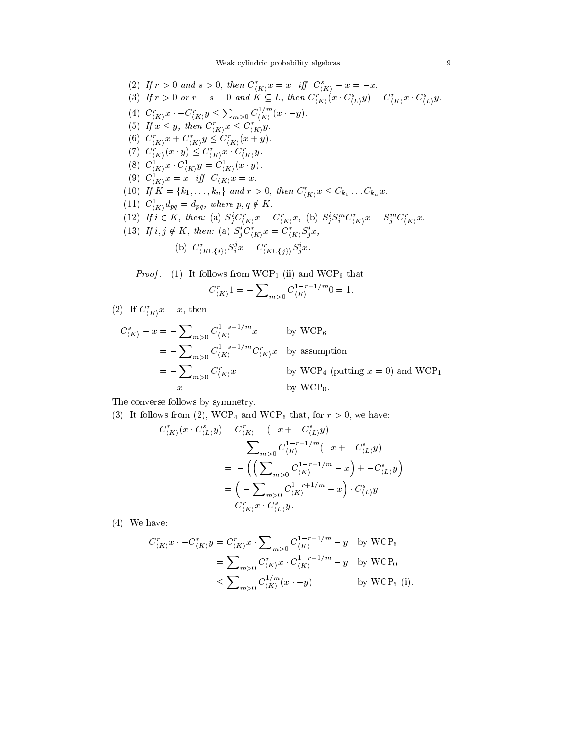Weak cylindric probability algebras and the settlement of  $9$ 

(2) If  $r > 0$  and  $s > 0$ , then  $C_{\langle K \rangle} x = x$  if  $\int_{K \setminus V} C_{\langle K \rangle} - x = -x$ . (3) If  $r > 0$  or  $r = s = 0$  and  $K \subseteq L$ , then  $C_{\langle K \rangle}(x \cdot C_{\langle L \rangle}y) = C_{\langle K \rangle}(x \cdot C_{\langle L \rangle}y)$ . (4)  $C_{\langle K \rangle}^r x \cdot -C_{\langle K \rangle}^r y \le \sum_{m>0} C_{\langle K \rangle}^{1/m} (x \cdot -y).$ (3) If  $x \leq y$ , then  $C_{\langle K \rangle} x \leq C_{\langle K \rangle} y$ . (0)  $C_{\langle K \rangle} x + C_{\langle K \rangle} y \leq C_{\langle K \rangle} (x + y).$  $\left(\iota\right) \cup_{\left(K\right)} (x \cdot y) \leq \cup_{\left(K\right)} x \cdot \cup_{\left(K\right)} y$ .  $(K, \mathcal{F})$ (8)  $C_{(K)}^T x \cdot C_{(K)}^T y = C_{(K)}^T (x \cdot y).$ <br>(9)  $C_{(K)}^1 x = x$  iff  $C_{(K)}^T x = x.$ (10) If  $K = \{k_1, \ldots, k_n\}$  and  $r > 0$ , then  $C_{\langle K \rangle} x \leq C_{k_1} \ldots C_{k_n} x$ . (11)  $C_{\langle K \rangle} a_{pq} = a_{pq}$ , where  $p, q \notin \mathbf{\Lambda}$ . (12) If  $i \in \mathbb{A}$ , then: (a)  $S_i C_{iK} x = C_{iK} x$ , (b)  $S_i S_i C_{iK} x = S_i C_{iK} x$ . (15) If  $i, j \notin \Lambda$ , then: (a)  $S_j \cup_{i \in \Lambda} x = \cup_{i \in \Lambda} S_j x$ , (b)  $C'_{K\cup\{i\}}S_i^{\circ}x = C'_{K\cup\{i\}}S_i^{\circ}x.$ 

Proof. (1) It follows from WCP1 (ii) and WCP6 that

$$
C_{\langle K\rangle}'^1=-\sum\nolimits_{m>0}C_{\langle K\rangle}^{1-r+1/m}0=1.
$$

(2) If  $C_{\langle K \rangle} x = x$ , then

$$
C_{\langle K \rangle}^{s} - x = -\sum_{m>0} C_{\langle K \rangle}^{1-s+1/m} x \qquad \text{by WCP}_6
$$
  
=  $-\sum_{m>0} C_{\langle K \rangle}^{1-s+1/m} C_{\langle K \rangle}^{r} x \qquad \text{by assumption}$   
=  $-\sum_{m>0} C_{\langle K \rangle}^{r} x \qquad \text{by WCP}_4 \text{ (putting } x = 0) \text{ and WCP}_1$   
=  $-x \qquad \qquad \text{by WCP}_0.$ 

The converse follows by symmetry.

(3) It follows from (2), WCP<sub>4</sub> and WCP<sub>6</sub> that, for  $r > 0$ , we have:

$$
C_{\langle K \rangle}^r(x \cdot C_{\langle L \rangle}^s y) = C_{\langle K \rangle}^r - (-x + C_{\langle L \rangle}^s y)
$$
  
=  $-\sum_{m>0} C_{\langle K \rangle}^{1-r+1/m}(-x + C_{\langle L \rangle}^s y)$   
=  $-(\left(\sum_{m>0} C_{\langle K \rangle}^{1-r+1/m} - x\right) + C_{\langle L \rangle}^s y)$   
=  $\left(-\sum_{m>0} C_{\langle K \rangle}^{1-r+1/m} - x\right) \cdot C_{\langle L \rangle}^s y$   
=  $C_{\langle K \rangle}^r x \cdot C_{\langle L \rangle}^s y$ .

(4) We have:

$$
C_{\langle K \rangle}^r x \cdot -C_{\langle K \rangle}^r y = C_{\langle K \rangle}^r x \cdot \sum_{m>0} C_{\langle K \rangle}^{1-r+1/m} - y \text{ by WCP}_6
$$
  
= 
$$
\sum_{m>0} C_{\langle K \rangle}^r x \cdot C_{\langle K \rangle}^{1-r+1/m} - y \text{ by WCP}_0
$$
  

$$
\leq \sum_{m>0} C_{\langle K \rangle}^{1/m} (x \cdot -y) \text{ by WCP}_5 \text{ (i)}.
$$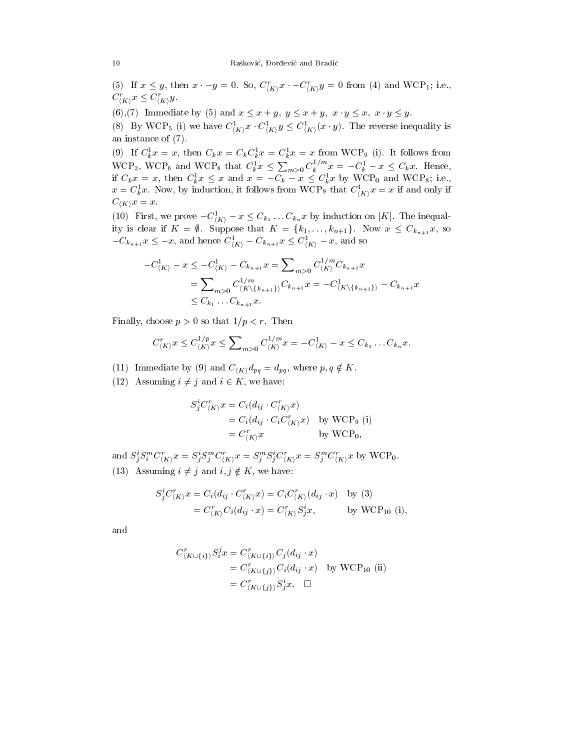(5) If  $x \leq y$ , then  $x \cdot -y = 0$ . So,  $C_{(K)}^T x \cdot -C_{(K)}^T y = 0$  from (4) and WCF<sub>1</sub>; i.e.,  $\cup_{(K)} x \leq \cup_{(K)} y.$ 

(6),(7) Immediate by (5) and  $x \le x + y$ ,  $y \le x + y$ ,  $x \cdot y \le x$ ,  $x \cdot y \le y$ .

(8) By WCF<sub>5</sub> (1) we have  $C_{\langle K \rangle} x \cdot C_{\langle K \rangle} y \leq C_{\langle K \rangle} (x \cdot y)$ . The reverse inequality is an instance of (7).

(9) If  $C_k x = x$ , then  $C_k x = C_k C_k x = C_k x = x$  from  $k$  = x from WCP9 (i). It follows from  $\sim$ WCP<sub>3</sub>, WCP<sub>6</sub> and WCP<sub>8</sub> that  $C_k^1 x \leq \sum_{m>0} C_k^{1/m} x = -C_k^1 - x \leq C_k x$ . Hence, if  $C_k x = x$ , then  $C_k x \leq x$  and  $x = -C_k - x \leq C_k x$  by WCP<sub>0</sub> and WCP<sub>8</sub>; i.e.,  $x = C_k x$ . Now, by induction, it follows from WCP<sub>9</sub> that  $C_{(K)}^r x = x$  if and only if

(10) First, we prove  $-C^1_{\langle K \rangle} - x \leq C_{k_1} \ldots C_{k_n} x$  by induction on |K|. The inequality is clear if  $K = \emptyset$ . Suppose that  $K = \{k_1, \ldots, k_{n+1}\}$ . Now  $x \leq C_{k_{n+1}} x$ , so  $-C_{k_{n+1}}x \leq -x$ , and hence  $C_{\langle K \rangle} - C_{k_{n+1}}x \leq C_{\langle K \rangle} -x$ , and so

$$
-C_{\langle K \rangle}^{1} - x \leq -C_{\langle K \rangle}^{1} - C_{k_{n+1}} x = \sum_{m>0} C_{\langle K \rangle}^{1/m} C_{k_{n+1}} x
$$
  
= 
$$
\sum_{m>0} C_{\langle K \rangle \{k_{n+1}\}}^{1/m} C_{k_{n+1}} x = -C_{\langle K \rangle \{k_{n+1}\}}^{1} - C_{k_{n+1}} x
$$
  

$$
\leq C_{k_{1}} \dots C_{k_{n+1}} x.
$$

Finally, choose  $p > 0$  so that  $1/p < r$ . Then

$$
C_{\langle K \rangle}^r x \leq C_{\langle K \rangle}^{1/p} x \leq \sum\nolimits_{m>0} C_{\langle K \rangle}^{1/m} x = -C_{\langle K \rangle}^1 - x \leq C_{k_1} \dots C_{k_n} x.
$$

(11) Immediate by (9) and  $C_{\langle K \rangle} d_{pq} = d_{pq}$ , where  $p, q \notin K$ .

(12) Assuming  $i \neq j$  and  $i \in K$ , we have:

$$
S_j^i C_{\langle K \rangle}^r x = C_i (d_{ij} \cdot C_{\langle K \rangle}^r x)
$$
  
=  $C_i (d_{ij} \cdot C_i C_{\langle K \rangle}^r x)$  by WCP<sub>9</sub> (i)  
=  $C_{\langle K \rangle}^r x$  by WCP<sub>0</sub>,

and  $S_i S_i^{\text{T}} C_{(K)} x = S_i S_i^{\text{T}} C_{(K)} x = S_i^{\text{T}} S_i C_{(K)} x = S_i^{\text{T}} C_{(K)} x$  by WCP<sub>0</sub>. (13) Assuming  $i \neq j$  and  $i, j \notin K$ , we have:

$$
S_j^i C_{\langle K \rangle}^r x = C_i (d_{ij} \cdot C_{\langle K \rangle}^r x) = C_i C_{\langle K \rangle}^r (d_{ij} \cdot x) \quad \text{by (3)}
$$
  
= 
$$
C_{\langle K \rangle}^r C_i (d_{ij} \cdot x) = C_{\langle K \rangle}^r S_j^i x, \quad \text{by WCP}_{10} \text{ (i)},
$$

and

$$
C_{\langle K \cup \{i\}\rangle}^r S_i^j x = C_{\langle K \cup \{i\}\rangle}^r C_j (d_{ij} \cdot x)
$$
  
= 
$$
C_{\langle K \cup \{j\}\rangle}^r C_i (d_{ij} \cdot x)
$$
 by WCP<sub>10</sub> (ii)  
= 
$$
C_{\langle K \cup \{j\}\rangle}^r S_j^i x.
$$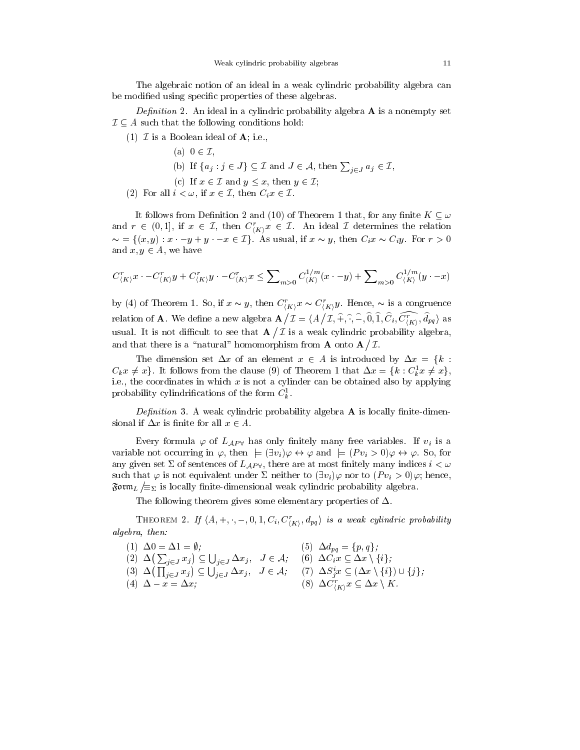The algebraic notion of an ideal in a weak cylindric probability algebra can be modified using specific properties of these algebras.

Denition 2. An ideal in a cylindric probability algebra A is a nonempty set  $\mathcal{I} \subseteq A$  such that the following conditions hold:

(1)  $\mathcal I$  is a Boolean ideal of  $\mathbf A$ ; i.e.,

- (a)  $0 \in \mathcal{I}$ ,
- (b) If  $\{a_j : j \in J\} \subseteq \mathcal{I}$  and  $J \in \mathcal{A}$ , then  $\sum_{j \in J} a_j \in \mathcal{I}$ ,
- (c) If  $x \in \mathcal{I}$  and  $y \leq x$ , then  $y \in \mathcal{I}$ ;
- (2) For all  $i < \omega$ , if  $x \in \mathcal{I}$ , then  $C_i x \in \mathcal{I}$ .

It follows from Definition 2 and (10) of Theorem 1 that, for any finite  $K \subseteq \omega$ and  $r \in (0,1]$ , if  $x \in \mathcal{I}$ , then  $C_{\langle K \rangle} x \in \mathcal{I}$ . An ideal  $\mathcal{I}$  determines the relation  $\sim$  = { $(x, y)$  :  $x - y + y - x \in \mathcal{I}$ }. As usual, if  $x \sim y$ , then  $C_i x \sim C_i y$ . For  $r > 0$ and  $x, y \in A$ , we have

$$
C^r_{\langle K \rangle}x \cdot -C^r_{\langle K \rangle}y + C^r_{\langle K \rangle}y \cdot -C^r_{\langle K \rangle}x \leq \sum\nolimits_{m>0} C^{1/m}_{\langle K \rangle}(x \cdot -y) + \sum\nolimits_{m>0} C^{1/m}_{\langle K \rangle}(y \cdot -x)
$$

by (4) of Theorem 1. So, if  $x \sim y$ , then  $C_{\langle K \rangle} x \sim C_{\langle K \rangle} y$ . Hence,  $\sim$  is a congruence relation of A. We dene a new algebra A <sup>I</sup> = hA  $\langle \mathcal{I}, \hat{+}, \hat{\cdot}, \hat{-}, \widehat{0}, \widehat{1}, \widehat{C}_i, \widehat{C_{(K)}^r}, \widehat{d}_{pq} \rangle$  as where  $\mathcal{L}_{\mathcal{A}}$  is not different to see that Australian and Australian and Australian and Australian and Australian and Australian and Australian and Australian and Australian and Australian and Australian and Austra  $\overline{\phantom{a}}$ I is a weak cylindric probability and a weak cylindric probability algebra, and a weak cylindric probability a and that there is a  $\mathbb R$  -form  $\mathbb R$  onto  $\mathbb R$  onto  $\mathbb R$  onto  $\mathbb R$  onto  $\mathbb R$  onto  $\mathbb R$  onto  $\mathbb R$  $\overline{\phantom{a}}$ 

The dimension set  $\Delta x$  of an element  $x \in A$  is introduced by  $\Delta x = \{k :$  $C_k x \neq x_j$ . It follows from the clause (9) of Theorem 1 that  $\Delta x = \{k : C_k x \neq x_j,$ i.e., the coordinates in which x is not a cylinder can be obtained also by applying probability cylindrifications of the form  $\mathcal{C}_k$ .

Denition 3. A weak cylindric probability algebra A is locally nite-dimensional if  $\Delta x$  is finite for all  $x \in A$ .

Every formula  $\varphi$  of  $L_{AP}$  has only finitely many free variables. If  $v_i$  is a variable not occurring in  $\varphi$ , then  $\models (\exists v_i)\varphi \leftrightarrow \varphi$  and  $\models (P v_i > 0)\varphi \leftrightarrow \varphi$ . So, for any given set  $\Sigma$  of sentences of  $L_{AP}$ , there are at most finitely many indices  $i < \omega$ such that  $\varphi$  is not equivalent under  $\Sigma$  neither to  $(\exists v_i)\varphi$  nor to  $(Pv_i > 0)\varphi$ ; hence, Form  $_L/\equiv_{\Sigma}$  is locally finite-dimensional weak cylindric probability algebra.

The following theorem gives some elementary properties of  $\Delta$ .

**THEOREM 2.** If  $\{A, +, \cdot, -, 0, 1, \mathrm{C}_i, \mathrm{C}_{iK}, a_{pq}\}$  is a weak cyunaric probability  $h = h$  is a set of  $h = h$ algebra, then:

(1) 
$$
\Delta 0 = \Delta 1 = \emptyset
$$
;   
\n(2)  $\Delta (\sum_{j \in J} x_j) \subseteq \bigcup_{j \in J} \Delta x_j$ ,  $J \in \mathcal{A}$ ;   
\n(3)  $\Delta (\prod_{j \in J} x_j) \subseteq \bigcup_{j \in J} \Delta x_j$ ,  $J \in \mathcal{A}$ ;   
\n(4)  $\Delta - x = \Delta x$ ;   
\n(5)  $\Delta d_{pq} = \{p, q\}$ ;   
\n(6)  $\Delta C_i x \subseteq \Delta x \setminus \{i\}$ ;   
\n(7)  $\Delta S_j^i x \subseteq (\Delta x \setminus \{i\}) \cup \{j\}$ ;   
\n(8)  $\Delta C_{\langle K \rangle}^r x \subseteq \Delta x \setminus K$ .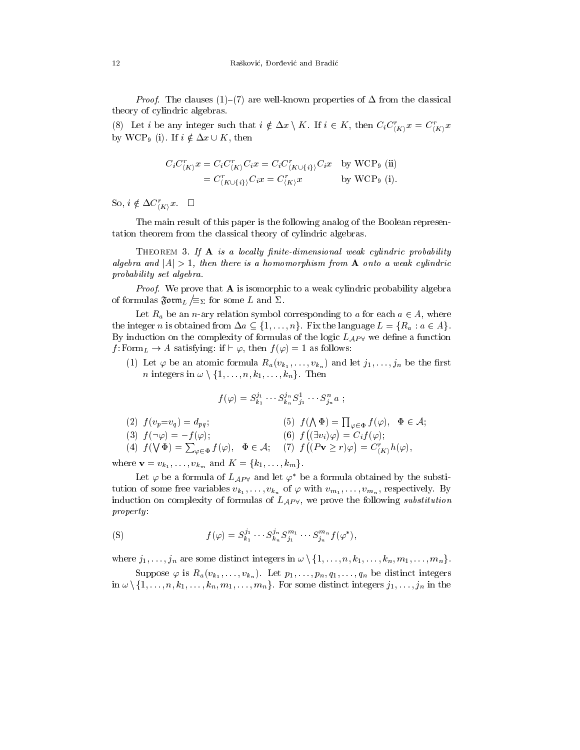$P$  ,  $P$  and clauses (1) (7) are well-known properties of  $\blacksquare$  from the classical theory of cylindric algebras.

(8) Let *i* be any integer such that  $i \notin \Delta x \setminus K$ . If  $i \in K$ , then  $C_iC_{\langle K \rangle}x = C_{\langle K \rangle}x$ by WCP<sub>9</sub> (i). If  $i \notin \Delta x \cup K$ , then

$$
C_i C_{\langle K \rangle}^r x = C_i C_{\langle K \rangle}^r C_i x = C_i C_{\langle K \cup \{i\} \rangle}^r C_i x \quad \text{by WCP}_9 \text{ (ii)}
$$
  
=  $C_{\langle K \cup \{i\} \rangle}^r C_i x = C_{\langle K \rangle}^r x \quad \text{by WCP}_9 \text{ (i)}.$ 

 $\mathcal{S}^{0}, i \notin \Delta \mathcal{C}_{\langle K \rangle} x. \quad \Box$ 

The main result of this paper is the following analog of the Boolean representation theorem from the classical theory of cylindric algebras.

THEOREM 3. If  $\bf{A}$  is a locally finite-dimensional weak cylindric probability algebra and  $|\Delta|>1$ , then there is a homomorphism from  $\Delta$  onto a weak cylindric probability set algebra.

Proof. We prove that A is isomorphic to a weak cylindric probability algebra of formulas  $\mathfrak{F} \mathfrak{o} \mathfrak{r} \mathfrak{m}_L / \equiv_{\Sigma}$  for some L and  $\Sigma$ .

Let  $R_a$  be an *n*-ary relation symbol corresponding to a for each  $a \in A$ , where the integer *n* is obtained from  $\Delta a \subseteq \{1, ..., n\}$ . Fix the language  $L = \{R_a : a \in A\}$ . By induction on the complexity of formulas of the logic  $L_{AP}$  we define a function  $f: \text{Form}_L \to A$  satisfying: if  $\vdash \varphi$ , then  $f(\varphi) = 1$  as follows:

(1) Let  $\varphi$  be an atomic formula  $R_a(v_{k_1},...,v_{k_n})$  and let  $j_1,...,j_n$  be the first *n* integers in  $\omega \setminus \{1, \ldots, n, k_1, \ldots, k_n\}$ . Then

$$
f(\varphi) = S_{k_1}^{j_1} \cdots S_{k_n}^{j_n} S_{j_1}^1 \cdots S_{j_n}^n a ;
$$

(2) 
$$
f(v_p=v_q) = d_{pq}
$$
;  
\n(3)  $f(\neg \varphi) = -f(\varphi)$ ;  
\n(4)  $f(\nabla \Phi) = \sum_{\varphi \in \Phi} f(\varphi)$ ,  $\Phi \in \mathcal{A}$ ;  
\n(5)  $f(\bigwedge \Phi) = \prod_{\varphi \in \Phi} f(\varphi)$ ,  $\Phi \in \mathcal{A}$ ;  
\n(6)  $f(\exists v_i)\varphi) = C_i f(\varphi)$ ;  
\n(7)  $f((P\mathbf{v} \ge r)\varphi) = C_{\langle K \rangle}^r h(\varphi)$ ,

where  $\mathbf{v} = v_{k_1}, \ldots, v_{k_m}$  and  $K = \{k_1, \ldots, k_m\}.$ 

Let  $\varphi$  be a formula of  $L_{AP}$  and let  $\varphi^*$  be a formula obtained by the substitution of some free variables  $v_{k_1}, \ldots, v_{k_n}$  of  $\varphi$  with  $v_{m_1}, \ldots, v_{m_n}$ , respectively. By induction on complexity of formulas of  $L_{AP}$ , we prove the following substitution property

(S) 
$$
f(\varphi) = S_{k_1}^{j_1} \cdots S_{k_n}^{j_n} S_{j_1}^{m_1} \cdots S_{j_n}^{m_n} f(\varphi^*),
$$

where  $j_1, \ldots, j_n$  are some distinct integers in  $\omega \setminus \{1, \ldots, n, k_1, \ldots, k_n, m_1, \ldots, m_n\}.$ 

Suppose  $\varphi$  is  $R_a(v_{k_1}, \ldots, v_{k_n})$ . Let  $p_1, \ldots, p_n, q_1, \ldots, q_n$  be distinct integers in  $\omega \setminus \{1, \ldots, n, k_1, \ldots, k_n, m_1, \ldots, m_n\}$ . For some distinct integers  $j_1, \ldots, j_n$  in the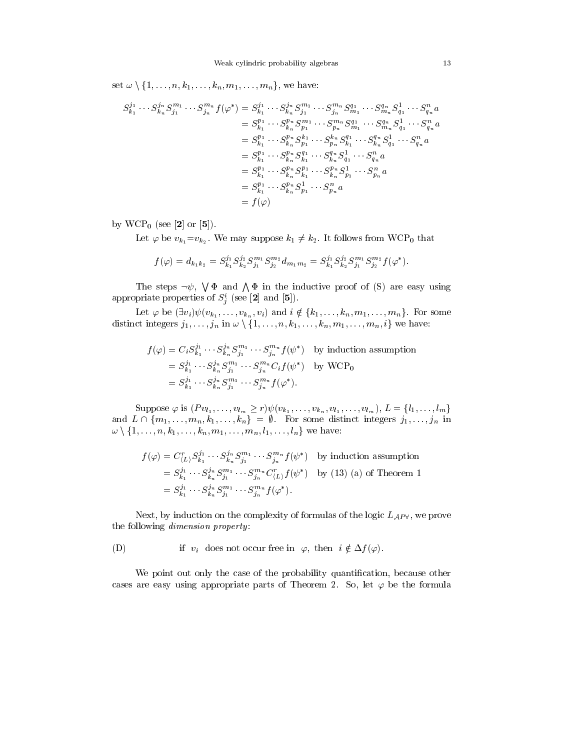set  $\omega \setminus \{1, \ldots, n, k_1, \ldots, k_n, m_1, \ldots, m_n\}$ , we have:

$$
S_{k_1}^{j_1} \cdots S_{k_n}^{j_n} S_{j_1}^{m_1} \cdots S_{j_n}^{m_n} f(\varphi^*) = S_{k_1}^{j_1} \cdots S_{k_n}^{j_n} S_{j_1}^{m_1} \cdots S_{j_n}^{m_n} S_{m_1}^{q_1} \cdots S_{m_n}^{q_n} S_{q_1}^{1} \cdots S_{q_n}^{n} a
$$
  
\n
$$
= S_{k_1}^{p_1} \cdots S_{k_n}^{p_n} S_{p_1}^{m_1} \cdots S_{p_n}^{m_n} S_{m_1}^{q_1} \cdots S_{m_n}^{q_n} S_{q_1}^{1} \cdots S_{q_n}^{n} a
$$
  
\n
$$
= S_{k_1}^{p_1} \cdots S_{k_n}^{p_n} S_{p_1}^{1} \cdots S_{p_n}^{k_n} S_{k_1}^{1} \cdots S_{k_n}^{q_n} S_{q_1}^{1} \cdots S_{q_n}^{n} a
$$
  
\n
$$
= S_{k_1}^{p_1} \cdots S_{k_n}^{p_n} S_{k_1}^{q_1} \cdots S_{k_n}^{p_n} S_{p_1}^{1} \cdots S_{p_n}^{n} a
$$
  
\n
$$
= S_{k_1}^{p_1} \cdots S_{k_n}^{p_n} S_{k_1}^{1} \cdots S_{k_n}^{p_n} S_{p_1}^{1} \cdots S_{p_n}^{n} a
$$
  
\n
$$
= S_{k_1}^{p_1} \cdots S_{k_n}^{p_n} S_{p_1}^{1} \cdots S_{p_n}^{n} a
$$
  
\n
$$
= f(\varphi)
$$

by  $WCP_0$  (see [2] or [5]).

Let  $\varphi$  be  $v_{k_1}=v_{k_2}$ . We may suppose  $k_1 \neq k_2$ . It follows from WCP<sub>0</sub> that

$$
f(\varphi) = d_{k_1k_2} = S_{k_1}^{j_1} S_{k_2}^{j_2} S_{j_1}^{m_1} S_{j_2}^{m_2} d_{m_1m_2} = S_{k_1}^{j_1} S_{k_2}^{j_2} S_{j_1}^{m_1} S_{j_2}^{m_2} f(\varphi^*).
$$

The steps  $\neg \psi$ ,  $\forall \Phi$  and  $\Lambda \Phi$  in the inductive proof of (S) are easy using appropriate properties of  $S_i$  (see [2] and [5]).

Let  $\varphi$  be  $(\exists v_i) \psi(v_{k_1}, \ldots, v_{k_n}, v_i)$  and  $i \notin \{k_1, \ldots, k_n, m_1, \ldots, m_n\}$ . For some distinct integers  $j_1, \ldots, j_n$  in  $\omega \setminus \{1, \ldots, n, k_1, \ldots, k_n, m_1, \ldots, m_n, i\}$  we have:

$$
f(\varphi) = C_i S_{k_1}^{j_1} \cdots S_{k_n}^{j_n} S_{j_1}^{m_1} \cdots S_{j_n}^{m_n} f(\psi^*) \text{ by induction assumption}
$$
  
=  $S_{k_1}^{j_1} \cdots S_{k_n}^{j_n} S_{j_1}^{m_1} \cdots S_{j_n}^{m_n} C_i f(\psi^*)$  by WCP<sub>0</sub>  
=  $S_{k_1}^{j_1} \cdots S_{k_n}^{j_n} S_{j_1}^{m_1} \cdots S_{j_n}^{m_n} f(\varphi^*).$ 

Suppose  $\varphi$  is  $(Pv_{l_1},...,v_{l_m} \geq r)\psi(v_{k_1},...,v_{k_n},v_{l_1},...,v_{l_m}), L = \{l_1,...,l_m\}$ and L  $\alpha$  ,  $\alpha$  ,  $\alpha$  ,  $\alpha$  ,  $\alpha$  ,  $\alpha$  ,  $\alpha$  ,  $\alpha$  ,  $\alpha$  in integrating integrating integrating integrating  $\alpha$  $w \setminus \{1, ..., n, k_1, ..., k_n, m_1, ..., m_n, l_1, ..., l_n\}$  we have:

$$
f(\varphi) = C_{\langle L \rangle}^r S_{k_1}^{j_1} \cdots S_{k_n}^{j_n} S_{j_1}^{m_1} \cdots S_{j_n}^{m_n} f(\psi^*) \text{ by induction assumption}
$$
  
=  $S_{k_1}^{j_1} \cdots S_{k_n}^{j_n} S_{j_1}^{m_1} \cdots S_{j_n}^{m_n} C_{\langle L \rangle}^r f(\psi^*)$  by (13) (a) of Theorem 1  
=  $S_{k_1}^{j_1} \cdots S_{k_n}^{j_n} S_{j_1}^{m_1} \cdots S_{j_n}^{m_n} f(\varphi^*).$ 

Next, by induction on the complexity of formulas of the logic  $L_{AP}$ , we prove the following dimension property:

(D) if  $v_i$  does not occur free in  $\varphi$ , then  $i \notin \Delta f(\varphi)$ .

We point out only the case of the probability quantification, because other cases are easy using appropriate parts of Theorem 2. So, let  $\varphi$  be the formula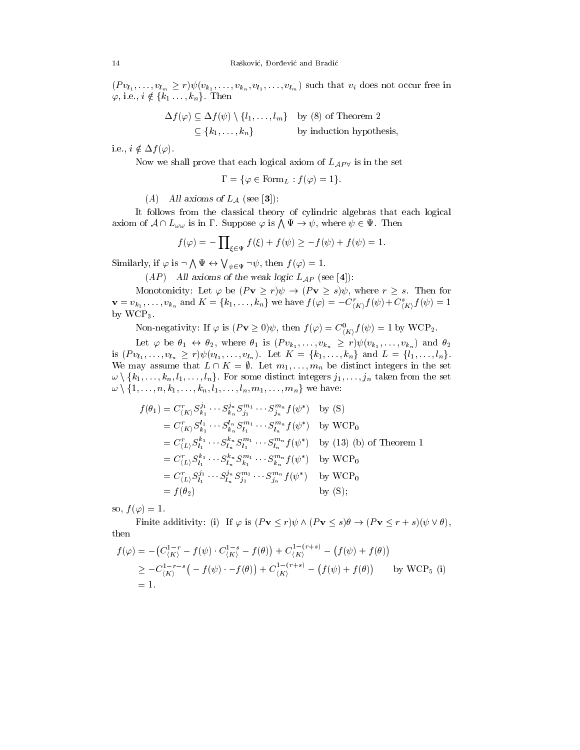$(Pv_{l_1},\ldots,v_{l_m}\geq r)\psi(v_{k_1},\ldots,v_{k_n},v_{l_1},\ldots,v_{l_m})$  such that  $v_i$  does not occur free in  $\varphi$ , i.e.,  $i \notin \{k_1, \ldots, k_n\}$ . Then

$$
\Delta f(\varphi) \subseteq \Delta f(\psi) \setminus \{l_1, \dots, l_m\} \text{ by (8) of Theorem 2}
$$

$$
\subseteq \{k_1, \dots, k_n\} \text{ by induction hypothesis,}
$$

i.e.,  $i \notin \Delta f(\varphi)$ .

Now we shall prove that each logical axiom of  $L_{AP}$  is in the set

$$
\Gamma = \{ \varphi \in \text{Form}_{L} : f(\varphi) = 1 \}.
$$

(A) All axioms of  $L_A$  (see [3]):

It follows from the classical theory of cylindric algebras that each logical axiom of  $A \cap L_{\omega \omega}$  is in  $\Gamma$ . Suppose  $\varphi$  is  $\bigwedge \Psi \to \psi$ , where  $\psi \in \Psi$ . Then

$$
f(\varphi) = -\prod_{\xi \in \Psi} f(\xi) + f(\psi) \ge -f(\psi) + f(\psi) = 1.
$$

Similarly, if  $\varphi$  is  $\neg \bigwedge \Psi \leftrightarrow \bigvee_{\psi \in \Psi} \neg \psi$ , then  $f(\varphi) = 1$ .

 $(AP)$  All axioms of the weak logic  $L_{AP}$  (see [4]):

Monotonicity: Let  $\varphi$  be  $(Pv \ge r)\psi \to (Pv \ge s)\psi$ , where  $r \ge s$ . Then for  ${\bf v}=v_{k_1},\ldots,v_{k_n}$  and  $K=\{k_1,\ldots,k_n\}$  we have  $f(\varphi)=-C_{(K)}^*f(\psi)+C_{(K)}^*f(\psi)=1$ by WCP3.

Non-negativity: If  $\varphi$  is  $(PV \geq 0)\psi$ , then  $J(\varphi) = C_{(K)}^{\vee} J(\psi) = 1$  by WCP<sub>2</sub>.

Let  $\varphi$  be  $\theta_1 \leftrightarrow \theta_2$ , where  $\theta_1$  is  $(P v_{k_1}, \ldots, v_{k_n} \ge r) \psi(v_{k_1}, \ldots, v_{k_n})$  and  $\theta_2$ is  $(Pv_{l_1},...,v_{l_n} \geq r)\psi(v_{l_1},...,v_{l_n})$ . Let  $K = \{k_1,...,k_n\}$  and  $L = \{l_1,...,l_n\}$ . We may assume that  $L \cap K = \emptyset$ . Let  $m_1, \ldots, m_n$  be distinct integers in the set  $w \setminus \{k_1, \ldots, k_n, l_1, \ldots, l_n\}$ . For some distinct integers  $j_1, \ldots, j_n$  taken from the set  $w \setminus \{1, ..., n, k_1, ..., k_n, l_1, ..., l_n, m_1, ..., m_n\}$  we have:

$$
f(\theta_1) = C_{\langle K \rangle}^r S_{k_1}^{j_1} \cdots S_{k_n}^{j_n} S_{j_1}^{m_1} \cdots S_{j_n}^{m_n} f(\psi^*) \text{ by (S)}
$$
  
\n
$$
= C_{\langle K \rangle}^r S_{k_1}^{l_1} \cdots S_{k_n}^{l_n} S_{l_1}^{m_1} \cdots S_{l_n}^{m_n} f(\psi^*) \text{ by WCP}_0
$$
  
\n
$$
= C_{\langle L \rangle}^r S_{l_1}^{k_1} \cdots S_{l_n}^{k_n} S_{l_1}^{m_1} \cdots S_{l_n}^{m_n} f(\psi^*) \text{ by (13) (b) of Theorem 1}
$$
  
\n
$$
= C_{\langle L \rangle}^r S_{l_1}^{k_1} \cdots S_{l_n}^{k_n} S_{k_1}^{m_1} \cdots S_{k_n}^{m_n} f(\psi^*) \text{ by WCP}_0
$$
  
\n
$$
= C_{\langle L \rangle}^r S_{l_1}^{j_1} \cdots S_{l_n}^{j_n} S_{j_1}^{m_1} \cdots S_{j_n}^{m_n} f(\psi^*) \text{ by WCP}_0
$$
  
\n
$$
= f(\theta_2) \text{ by (S)};
$$

so,  $f(\varphi) = 1$ .

Finite additivity: (i) If  $\varphi$  is  $(Pv \le r) \psi \wedge (Pv \le s) \theta \rightarrow (Pv \le r + s)( \psi \vee \theta),$ then

$$
f(\varphi) = -(C_{\langle K \rangle}^{1-r} - f(\psi) \cdot C_{\langle K \rangle}^{1-s} - f(\theta)) + C_{\langle K \rangle}^{1-(r+s)} - (f(\psi) + f(\theta))
$$
  
\n
$$
\geq -C_{\langle K \rangle}^{1-r-s} \left( -f(\psi) \cdot - f(\theta) \right) + C_{\langle K \rangle}^{1-(r+s)} - (f(\psi) + f(\theta)) \qquad \text{by WCP}_5 \text{ (i)}
$$
  
\n= 1.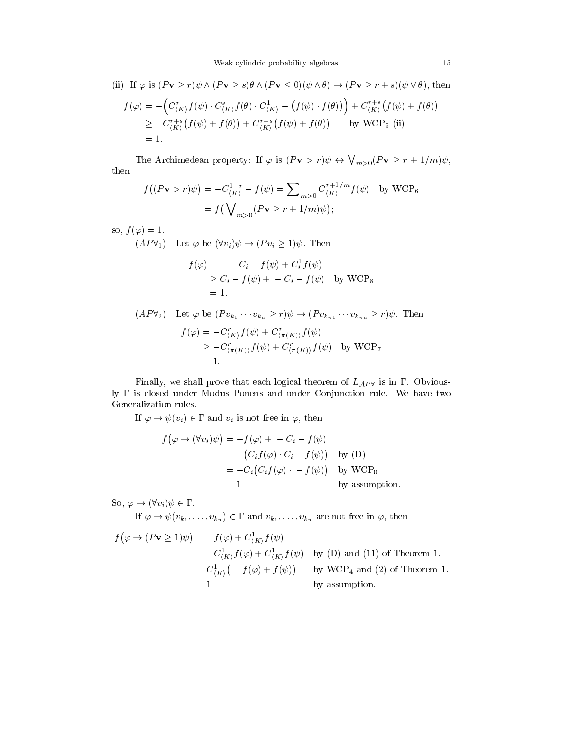(ii) If 
$$
\varphi
$$
 is  $(P\mathbf{v} \ge r)\psi \wedge (P\mathbf{v} \ge s)\theta \wedge (P\mathbf{v} \le 0)(\psi \wedge \theta) \rightarrow (P\mathbf{v} \ge r + s)(\psi \vee \theta)$ , then  
\n
$$
f(\varphi) = -\left(C_{\langle K \rangle}^r f(\psi) \cdot C_{\langle K \rangle}^s f(\theta) \cdot C_{\langle K \rangle}^1 - \left(f(\psi) \cdot f(\theta)\right)\right) + C_{\langle K \rangle}^{r+s} \left(f(\psi) + f(\theta)\right)
$$
\n
$$
\ge -C_{\langle K \rangle}^{r+s} \left(f(\psi) + f(\theta)\right) + C_{\langle K \rangle}^{r+s} \left(f(\psi) + f(\theta)\right) \qquad \text{by WCP}_5 \text{ (ii)}
$$
\n
$$
= 1.
$$

The Archimedean property: If  $\varphi$  is  $(Pv > r)\psi \leftrightarrow \bigvee_{m>0} (Pv \geq r+1/m)\psi$ , then

$$
f((P\mathbf{v} > r)\psi) = -C_{\langle K \rangle}^{1-r} - f(\psi) = \sum_{m>0} C_{\langle K \rangle}^{r+1/m} f(\psi) \text{ by WCP}_6
$$

$$
= f(\bigvee_{m>0} (P\mathbf{v} \ge r+1/m)\psi);
$$

so,  $f(\varphi) = 1$ .

 $(AP\forall_1)$  Let  $\varphi$  be  $(\forall v_i)\psi \rightarrow (P v_i \geq 1)\psi$ . Then

$$
f(\varphi) = -C_i - f(\psi) + C_i^1 f(\psi)
$$
  
\n
$$
\geq C_i - f(\psi) + -C_i - f(\psi) \text{ by WCP}_8
$$
  
\n
$$
= 1.
$$

 $(AP\forall_2)$  Let  $\varphi$  be  $(Pv_{k_1} \cdots v_{k_n} \ge r)\psi \to (Pv_{k_{\pi 1}} \cdots v_{k_{\pi n}} \ge r)\psi$ . Then  $f(\varphi) = -C_{\langle K \rangle} f(\psi) + C_{\langle \pi(K) \rangle} f(\psi)$  $\geq -C_{(\pi(K))}J(\psi) + C_{(\pi(K))}J(\psi)$  by WCP7  $=1$ .

Finally, we shall prove that each logical theorem of  $L_{AP}$  is in  $\Gamma$ . Obviously  $\Gamma$  is closed under Modus Ponens and under Conjunction rule. We have two Generalization rules.

If  $\varphi \to \psi(v_i) \in \Gamma$  and  $v_i$  is not free in  $\varphi$ , then

$$
f(\varphi \to (\forall v_i)\psi) = -f(\varphi) + -C_i - f(\psi)
$$
  
= - (C\_i f(\varphi) \cdot C\_i - f(\psi)) by (D)  
= -C\_i(C\_i f(\varphi) \cdot - f(\psi)) by WCP<sub>0</sub>  
= 1 by assumption.

So,  $\varphi \to (\forall v_i) \psi \in \Gamma$ .

If  $\varphi \to \psi(v_{k_1}, \ldots, v_{k_n}) \in \Gamma$  and  $v_{k_1}, \ldots, v_{k_n}$  are not free in  $\varphi$ , then

$$
f(\varphi \to (P\mathbf{v} \ge 1)\psi) = -f(\varphi) + C_{\langle K \rangle}^1 f(\psi)
$$
  
=  $-C_{\langle K \rangle}^1 f(\varphi) + C_{\langle K \rangle}^1 f(\psi)$  by (D) and (11) of Theorem 1.  
=  $C_{\langle K \rangle}^1 (-f(\varphi) + f(\psi))$  by WCP<sub>4</sub> and (2) of Theorem 1.  
= 1 by assumption.